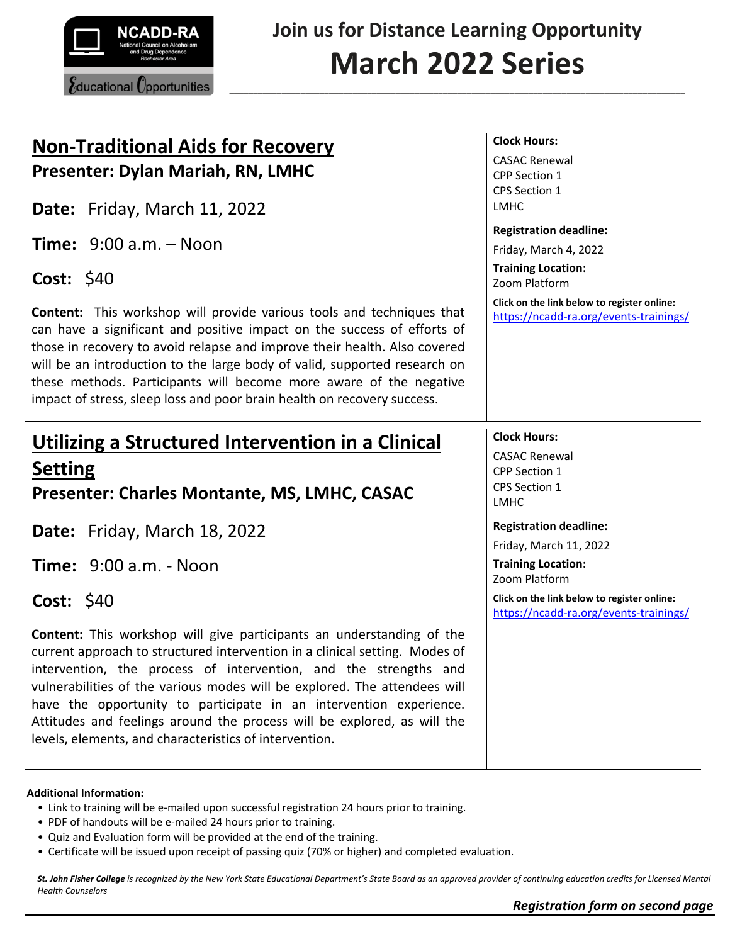

**Join us for Distance Learning Opportunity March 2022 Series**

**\_\_\_\_\_\_\_\_\_\_\_\_\_\_\_\_\_\_\_\_\_\_\_\_\_\_\_\_\_\_\_\_\_\_\_\_\_\_\_\_\_\_\_\_\_\_\_\_\_\_\_\_\_\_\_\_\_\_\_\_\_\_\_\_\_\_\_\_\_\_\_\_\_\_\_\_\_\_\_\_\_\_\_\_\_\_\_\_\_\_\_\_\_\_\_\_**

# **Non-Traditional Aids for Recovery Presenter: Dylan Mariah, RN, LMHC**

**Date:** Friday, March 11, 2022

**Time:** 9:00 a.m. – Noon

**Cost:** \$40

**Content:** This workshop will provide various tools and techniques that can have a significant and positive impact on the success of efforts of those in recovery to avoid relapse and improve their health. Also covered will be an introduction to the large body of valid, supported research on these methods. Participants will become more aware of the negative impact of stress, sleep loss and poor brain health on recovery success.

# **Utilizing a Structured Intervention in a Clinical Setting**

**Presenter: Charles Montante, MS, LMHC, CASAC**

**Date:** Friday, March 18, 2022

**Time:** 9:00 a.m. - Noon

**Cost:** \$40

**Content:** This workshop will give participants an understanding of the current approach to structured intervention in a clinical setting. Modes of intervention, the process of intervention, and the strengths and vulnerabilities of the various modes will be explored. The attendees will have the opportunity to participate in an intervention experience. Attitudes and feelings around the process will be explored, as will the levels, elements, and characteristics of intervention.

### **Additional Information:**

- Link to training will be e-mailed upon successful registration 24 hours prior to training.
- PDF of handouts will be e-mailed 24 hours prior to training.
- Quiz and Evaluation form will be provided at the end of the training.
- Certificate will be issued upon receipt of passing quiz (70% or higher) and completed evaluation.

*St. John Fisher College is recognized by the New York State Educational Department's State Board as an approved provider of continuing education credits for Licensed Mental Health Counselors*

## **Clock Hours:**

CASAC Renewal CPP Section 1 CPS Section 1 LMHC

### **Registration deadline:**

Friday, March 4, 2022 **Training Location:** Zoom Platform

**Click on the link below to register online:** <https://ncadd-ra.org/events-trainings/>

# **Clock Hours:**

CASAC Renewal CPP Section 1 CPS Section 1 LMHC

### **Registration deadline:**

Friday, March 11, 2022

**Training Location:** Zoom Platform

**Click on the link below to register online:** <https://ncadd-ra.org/events-trainings/>